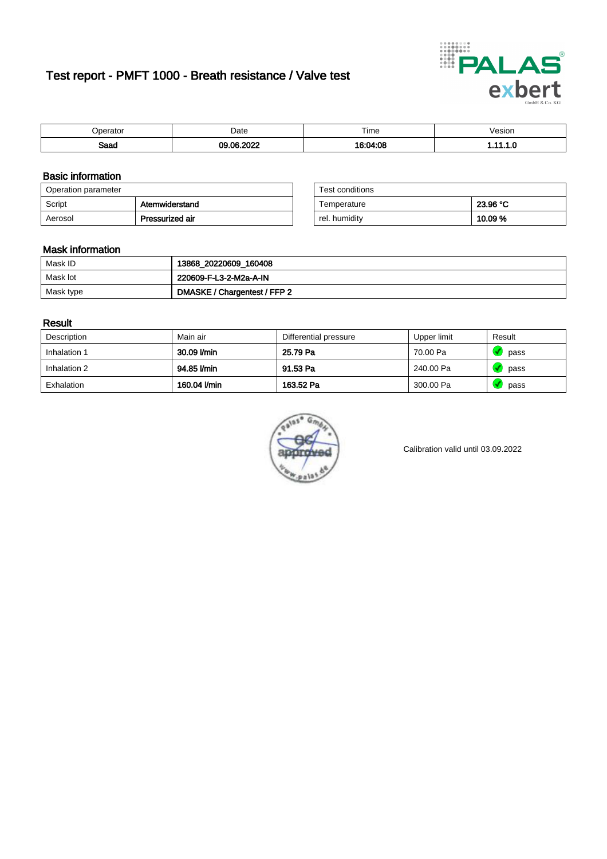# Test report - PMFT 1000 - Breath resistance / Valve test



| maxmax | Date  | $- \cdot$<br>Time | esion/ |
|--------|-------|-------------------|--------|
| Saad   | ----- | .00<br>10.1<br>nл | . v    |

### Basic information

| Operation parameter |                 | Test conditions |          |
|---------------------|-----------------|-----------------|----------|
| Script              | Atemwiderstand  | Temperature     | 23.96 °C |
| Aerosol             | Pressurized air | rel. humidity   | 10.09%   |

| Test conditions |          |
|-----------------|----------|
| Temperature     | 23.96 °C |
| rel. humidity   | 10.09%   |

#### Mask information

| Mask ID   | 13868_20220609_160408        |
|-----------|------------------------------|
| Mask lot  | 220609-F-L3-2-M2a-A-IN       |
| Mask type | DMASKE / Chargentest / FFP 2 |

### Result

| Description  | Main air     | Differential pressure | Upper limit | Result |
|--------------|--------------|-----------------------|-------------|--------|
| Inhalation 1 | 30.09 l/min  | 25.79 Pa              | 70.00 Pa    | pass   |
| Inhalation 2 | 94.85 l/min  | 91.53 Pa              | 240.00 Pa   | pass   |
| Exhalation   | 160.04 l/min | 163.52 Pa             | 300.00 Pa   | pass   |



Calibration valid until 03.09.2022